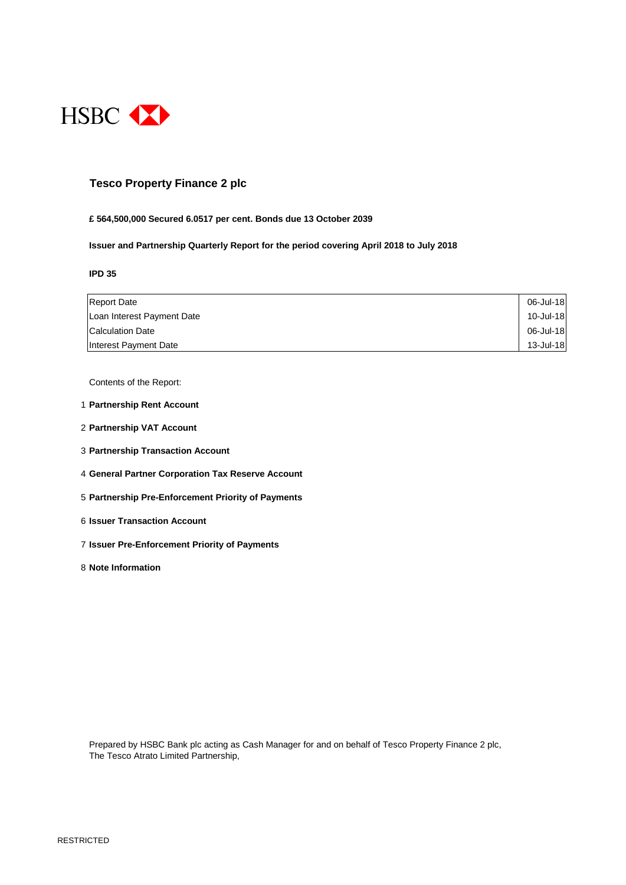

### **Tesco Property Finance 2 plc**

#### **£ 564,500,000 Secured 6.0517 per cent. Bonds due 13 October 2039**

**Issuer and Partnership Quarterly Report for the period covering April 2018 to July 2018**

**IPD 35**

| <b>Report Date</b>         | 06-Jul-18 |
|----------------------------|-----------|
| Loan Interest Payment Date | 10-Jul-18 |
| <b>Calculation Date</b>    | 06-Jul-18 |
| Interest Payment Date      | 13-Jul-18 |

Contents of the Report:

- 1 **Partnership Rent Account**
- 2 **Partnership VAT Account**
- 3 **Partnership Transaction Account**
- 4 **General Partner Corporation Tax Reserve Account**
- 5 **Partnership Pre-Enforcement Priority of Payments**
- 6 **Issuer Transaction Account**
- 7 **Issuer Pre-Enforcement Priority of Payments**
- 8 **Note Information**

Prepared by HSBC Bank plc acting as Cash Manager for and on behalf of Tesco Property Finance 2 plc, The Tesco Atrato Limited Partnership,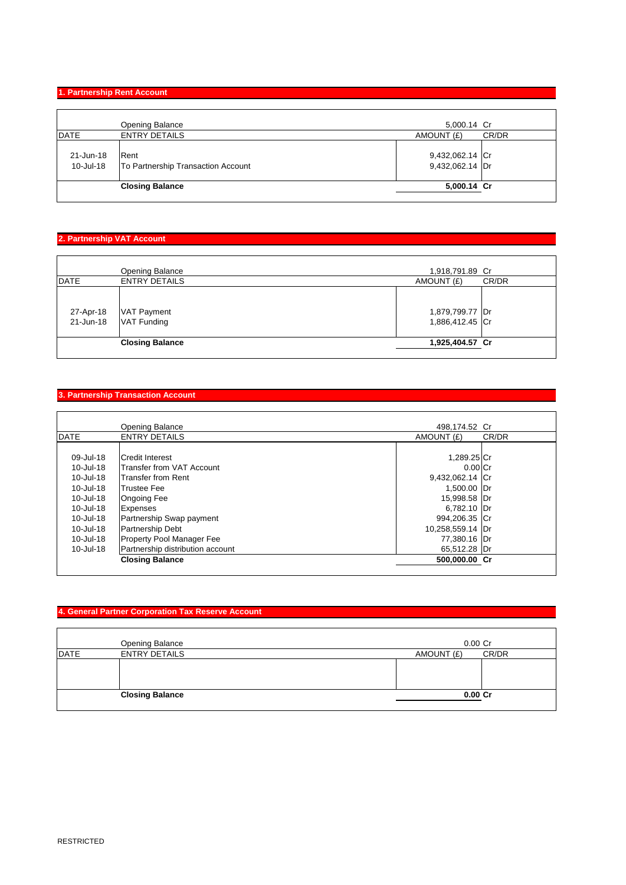### **1. Partnership Rent Account**

|             | Opening Balance                    | 5,000.14 Cr     |       |
|-------------|------------------------------------|-----------------|-------|
| <b>DATE</b> | <b>ENTRY DETAILS</b>               | AMOUNT (£)      | CR/DR |
|             |                                    |                 |       |
| 21-Jun-18   | Rent                               | 9,432,062.14 Cr |       |
| 10-Jul-18   | To Partnership Transaction Account | 9,432,062.14 Dr |       |
|             |                                    |                 |       |
|             | <b>Closing Balance</b>             | 5,000.14 Cr     |       |

### **2. Partnership VAT Account**

|             | <b>Opening Balance</b>                        | 1,918,791.89 Cr                    |       |
|-------------|-----------------------------------------------|------------------------------------|-------|
| <b>DATE</b> | <b>ENTRY DETAILS</b>                          | AMOUNT (£)                         | CR/DR |
| 27-Apr-18   | <b>VAT Payment</b><br>21-Jun-18   VAT Funding | 1,879,799.77 Dr<br>1,886,412.45 Cr |       |
|             | <b>Closing Balance</b>                        | 1,925,404.57 Cr                    |       |
|             |                                               |                                    |       |

### **3. Partnership Transaction Account**

|               | <b>Opening Balance</b>           | 498,174.52 Cr    |       |
|---------------|----------------------------------|------------------|-------|
| <b>DATE</b>   | <b>ENTRY DETAILS</b>             | AMOUNT (£)       | CR/DR |
|               |                                  |                  |       |
| 09-Jul-18     | <b>ICredit Interest</b>          | 1,289.25 Cr      |       |
| 10-Jul-18     | Transfer from VAT Account        | $0.00$ Cr        |       |
| 10-Jul-18     | <b>Transfer from Rent</b>        | 9,432,062.14 Cr  |       |
| 10-Jul-18     | <b>Trustee Fee</b>               | 1,500.00 Dr      |       |
| 10-Jul-18     | <b>Ongoing Fee</b>               | 15,998.58 Dr     |       |
| 10-Jul-18     | <b>Expenses</b>                  | 6,782.10 Dr      |       |
| 10-Jul-18     | Partnership Swap payment         | 994,206.35 Cr    |       |
| 10-Jul-18     | <b>Partnership Debt</b>          | 10,258,559.14 Dr |       |
| $10 -$ Jul-18 | <b>Property Pool Manager Fee</b> | 77,380.16 Dr     |       |
| $10 -$ Jul-18 | Partnership distribution account | 65,512.28 Dr     |       |
|               | <b>Closing Balance</b>           | 500,000.00 Cr    |       |

### **4. General Partner Corporation Tax Reserve Account**

|             | Opening Balance        | $0.00$ Cr           |
|-------------|------------------------|---------------------|
| <b>DATE</b> | <b>ENTRY DETAILS</b>   | CR/DR<br>AMOUNT (£) |
|             |                        |                     |
|             |                        |                     |
|             |                        |                     |
|             | <b>Closing Balance</b> | $0.00C$ r           |
|             |                        |                     |

 $\mathsf{L}$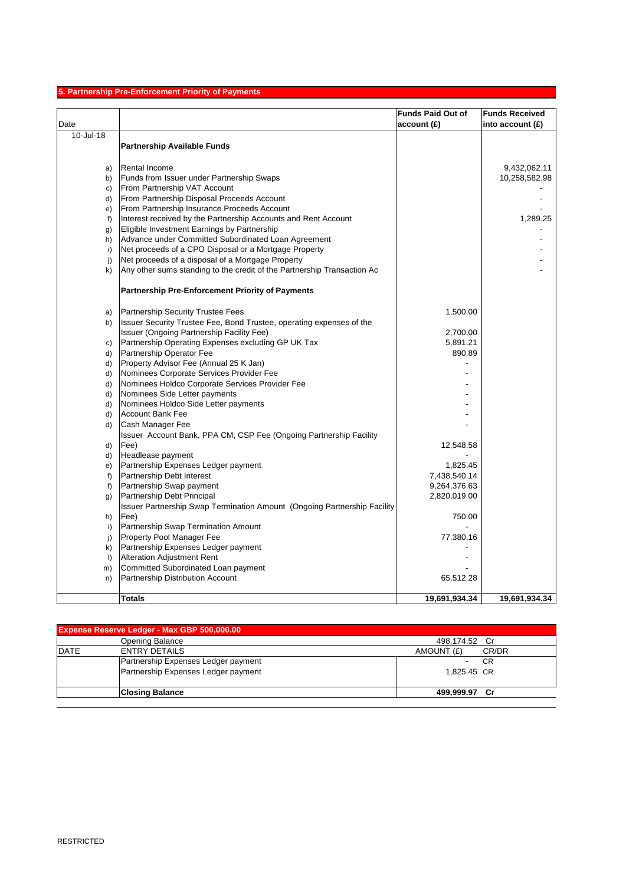# **5. Partnership Pre-Enforcement Priority of Payments**

| Date         |                                                                          | <b>Funds Paid Out of</b><br>account(E) | <b>Funds Received</b> |
|--------------|--------------------------------------------------------------------------|----------------------------------------|-----------------------|
| 10-Jul-18    |                                                                          |                                        | into account $(E)$    |
|              | <b>Partnership Available Funds</b>                                       |                                        |                       |
|              |                                                                          |                                        |                       |
| a)           | <b>Rental Income</b>                                                     |                                        | 9,432,062.11          |
| b)           | Funds from Issuer under Partnership Swaps                                |                                        | 10,258,582.98         |
| c)           | From Partnership VAT Account                                             |                                        |                       |
| d)           | From Partnership Disposal Proceeds Account                               |                                        |                       |
| e)           | From Partnership Insurance Proceeds Account                              |                                        |                       |
| $f$ )        | Interest received by the Partnership Accounts and Rent Account           |                                        | 1,289.25              |
| g)           | Eligible Investment Earnings by Partnership                              |                                        |                       |
| h)           | Advance under Committed Subordinated Loan Agreement                      |                                        |                       |
| i)           | Net proceeds of a CPO Disposal or a Mortgage Property                    |                                        |                       |
| j)           | Net proceeds of a disposal of a Mortgage Property                        |                                        |                       |
| k)           | Any other sums standing to the credit of the Partnership Transaction Ac  |                                        |                       |
|              | <b>Partnership Pre-Enforcement Priority of Payments</b>                  |                                        |                       |
| a)           | Partnership Security Trustee Fees                                        | 1,500.00                               |                       |
| b)           | Issuer Security Trustee Fee, Bond Trustee, operating expenses of the     |                                        |                       |
|              | Issuer (Ongoing Partnership Facility Fee)                                | 2,700.00                               |                       |
| C)           | Partnership Operating Expenses excluding GP UK Tax                       | 5,891.21                               |                       |
| d)           | Partnership Operator Fee                                                 | 890.89                                 |                       |
| d)           | Property Advisor Fee (Annual 25 K Jan)                                   |                                        |                       |
| d)           | Nominees Corporate Services Provider Fee                                 |                                        |                       |
| d)           | Nominees Holdco Corporate Services Provider Fee                          |                                        |                       |
| d)           | Nominees Side Letter payments                                            |                                        |                       |
| d)           | Nominees Holdco Side Letter payments                                     |                                        |                       |
| d)           | Account Bank Fee                                                         |                                        |                       |
| d)           | Cash Manager Fee                                                         |                                        |                       |
|              | Issuer Account Bank, PPA CM, CSP Fee (Ongoing Partnership Facility       |                                        |                       |
| d)           | Fee)                                                                     | 12,548.58                              |                       |
| d)           | Headlease payment                                                        |                                        |                       |
| e)           | Partnership Expenses Ledger payment                                      | 1,825.45                               |                       |
| $f$ )        | Partnership Debt Interest                                                | 7,438,540.14                           |                       |
| f)           | Partnership Swap payment                                                 | 9,264,376.63                           |                       |
| g)           | Partnership Debt Principal                                               | 2,820,019.00                           |                       |
|              | Issuer Partnership Swap Termination Amount (Ongoing Partnership Facility |                                        |                       |
| h)           | Fee)                                                                     | 750.00                                 |                       |
| i)           | Partnership Swap Termination Amount                                      |                                        |                       |
| j)           | Property Pool Manager Fee                                                | 77,380.16                              |                       |
| k)           | Partnership Expenses Ledger payment                                      |                                        |                       |
| $\mathsf{I}$ | <b>Alteration Adjustment Rent</b>                                        |                                        |                       |
| m)           | Committed Subordinated Loan payment                                      |                                        |                       |
| n)           | Partnership Distribution Account                                         | 65,512.28                              |                       |
|              | Totals                                                                   | 19,691,934.34                          | 19,691,934.34         |

| <b>Expense Reserve Ledger - Max GBP 500,000.00</b> |                                     |                     |
|----------------------------------------------------|-------------------------------------|---------------------|
|                                                    | Opening Balance                     | 498,174.52 Cr       |
| <b>DATE</b>                                        | <b>ENTRY DETAILS</b>                | AMOUNT (£)<br>CR/DR |
|                                                    | Partnership Expenses Ledger payment | CR                  |
|                                                    | Partnership Expenses Ledger payment | 1.825.45 CR         |
|                                                    | <b>Closing Balance</b>              | 499.999.97 Cr       |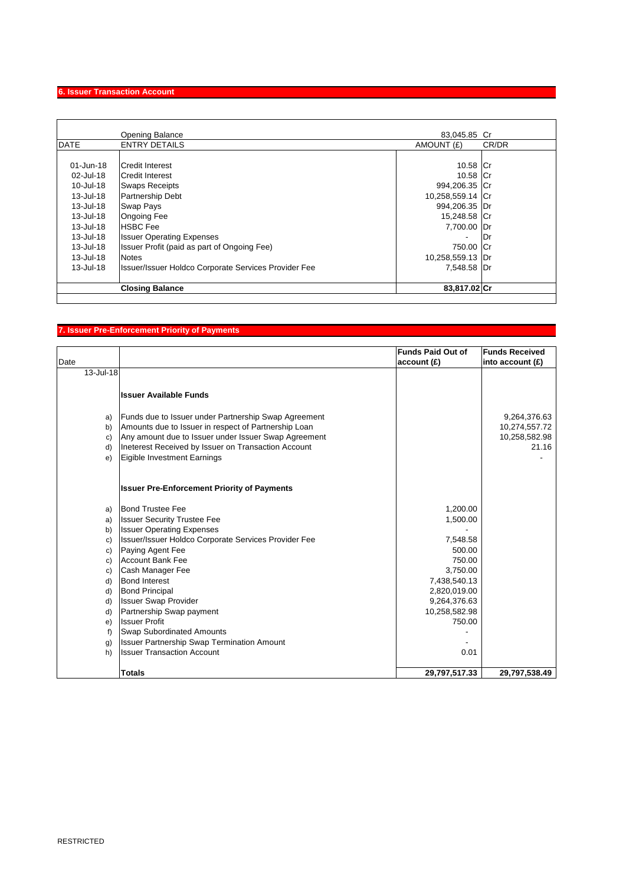# **6. Issuer Transaction Account**

|             | <b>Opening Balance</b>                                      | 83,045.85 Cr             |       |
|-------------|-------------------------------------------------------------|--------------------------|-------|
| <b>DATE</b> | <b>ENTRY DETAILS</b>                                        | AMOUNT (£)               | CR/DR |
|             |                                                             |                          |       |
| 01-Jun-18   | <b>ICredit Interest</b>                                     | 10.58 Cr                 |       |
| 02-Jul-18   | Credit Interest                                             | 10.58 Cr                 |       |
| 10-Jul-18   | <b>Swaps Receipts</b>                                       | 994,206.35 Cr            |       |
| 13-Jul-18   | <b>Partnership Debt</b>                                     | 10,258,559.14 Cr         |       |
| 13-Jul-18   | <b>Swap Pays</b>                                            | 994,206.35 Dr            |       |
| 13-Jul-18   | <b>Ongoing Fee</b>                                          | 15,248.58 Cr             |       |
| 13-Jul-18   | <b>IHSBC Fee</b>                                            | 7,700.00 Dr              |       |
| 13-Jul-18   | <b>Issuer Operating Expenses</b>                            | $\overline{\phantom{a}}$ | IDr   |
| 13-Jul-18   | Issuer Profit (paid as part of Ongoing Fee)                 | 750.00 Cr                |       |
| 13-Jul-18   | Notes                                                       | 10,258,559.13 Dr         |       |
| 13-Jul-18   | <b>Issuer/Issuer Holdco Corporate Services Provider Fee</b> | 7,548.58 Dr              |       |
|             | <b>Closing Balance</b>                                      | 83,817.02 Cr             |       |

# **7. Issuer Pre-Enforcement Priority of Payments**

|           |                                                      | <b>Funds Paid Out of</b> | <b>Funds Received</b> |
|-----------|------------------------------------------------------|--------------------------|-----------------------|
| Date      |                                                      | account(E)               | into account $(E)$    |
| 13-Jul-18 |                                                      |                          |                       |
|           | <b>Issuer Available Funds</b>                        |                          |                       |
|           |                                                      |                          |                       |
| a)        | Funds due to Issuer under Partnership Swap Agreement |                          | 9,264,376.63          |
| b)        | Amounts due to Issuer in respect of Partnership Loan |                          | 10,274,557.72         |
| c)        | Any amount due to Issuer under Issuer Swap Agreement |                          | 10,258,582.98         |
| d)        | Ineterest Received by Issuer on Transaction Account  |                          | 21.16                 |
| e)        | Eigible Investment Earnings                          |                          |                       |
|           |                                                      |                          |                       |
|           | <b>Issuer Pre-Enforcement Priority of Payments</b>   |                          |                       |
| a)        | <b>Bond Trustee Fee</b>                              | 1,200.00                 |                       |
| a)        | <b>Issuer Security Trustee Fee</b>                   | 1,500.00                 |                       |
| b)        | <b>Issuer Operating Expenses</b>                     |                          |                       |
| c)        | Issuer/Issuer Holdco Corporate Services Provider Fee | 7,548.58                 |                       |
| c)        | Paying Agent Fee                                     | 500.00                   |                       |
| c)        | <b>Account Bank Fee</b>                              | 750.00                   |                       |
| c)        | Cash Manager Fee                                     | 3,750.00                 |                       |
| d)        | <b>Bond Interest</b>                                 | 7,438,540.13             |                       |
| d)        | <b>Bond Principal</b>                                | 2,820,019.00             |                       |
| d)        | <b>Issuer Swap Provider</b>                          | 9,264,376.63             |                       |
| d)        | Partnership Swap payment                             | 10,258,582.98            |                       |
| e)        | <b>Issuer Profit</b>                                 | 750.00                   |                       |
| f)        | <b>Swap Subordinated Amounts</b>                     |                          |                       |
| g)        | <b>Issuer Partnership Swap Termination Amount</b>    |                          |                       |
| h)        | <b>Issuer Transaction Account</b>                    | 0.01                     |                       |
|           |                                                      |                          |                       |
|           | <b>Totals</b>                                        | 29,797,517.33            | 29,797,538.49         |